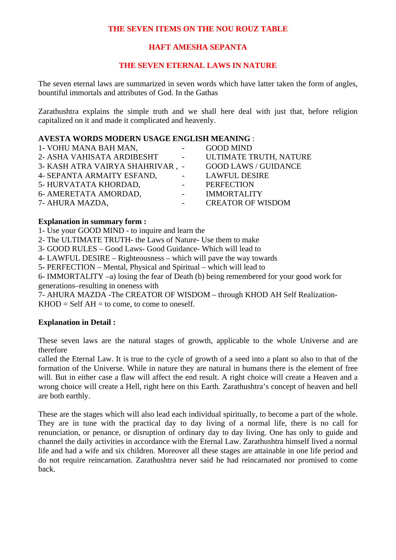## **THE SEVEN ITEMS ON THE NOU ROUZ TABLE**

# **HAFT AMESHA SEPANTA**

## **THE SEVEN ETERNAL LAWS IN NATURE**

The seven eternal laws are summarized in seven words which have latter taken the form of angles, bountiful immortals and attributes of God. In the Gathas

Zarathushtra explains the simple truth and we shall here deal with just that, before religion capitalized on it and made it complicated and heavenly.

### **AVESTA WORDS MODERN USAGE ENGLISH MEANING** :

| 1- VOHU MANA BAH MAN,            | $\sim$ 100 $\mu$          | <b>GOOD MIND</b>            |
|----------------------------------|---------------------------|-----------------------------|
| 2- ASHA VAHISATA ARDIBESHT       | <b>Service</b>            | ULTIMATE TRUTH, NATURE      |
| 3- KASH ATRA VAIRYA SHAHRIVAR, - |                           | <b>GOOD LAWS / GUIDANCE</b> |
| 4- SEPANTA ARMAITY ESFAND,       | $\omega_{\rm{max}}$       | <b>LAWFUL DESIRE</b>        |
| 5- HURVATATA KHORDAD,            | $\sim 10^{-10}$ m $^{-1}$ | PERFECTION                  |
| 6- AMERETATA AMORDAD,            | $\omega_{\rm{max}}$       | <b>IMMORTALITY</b>          |
| 7- AHURA MAZDA,                  |                           | <b>CREATOR OF WISDOM</b>    |

#### **Explanation in summary form :**

1- Use your GOOD MIND - to inquire and learn the

2- The ULTIMATE TRUTH- the Laws of Nature- Use them to make

3- GOOD RULES – Good Laws- Good Guidance- Which will lead to

4- LAWFUL DESIRE – Righteousness – which will pave the way towards

5- PERFECTION – Mental, Physical and Spiritual – which will lead to

6- IMMORTALITY –a) losing the fear of Death (b) being remembered for your good work for generations–resulting in oneness with

7- AHURA MAZDA -The CREATOR OF WISDOM – through KHOD AH Self Realization- $KHOD = Self AH = to come, to come to oneself.$ 

## **Explanation in Detail :**

These seven laws are the natural stages of growth, applicable to the whole Universe and are therefore

called the Eternal Law. It is true to the cycle of growth of a seed into a plant so also to that of the formation of the Universe. While in nature they are natural in humans there is the element of free will. But in either case a flaw will affect the end result. A right choice will create a Heaven and a wrong choice will create a Hell, right here on this Earth. Zarathushtra's concept of heaven and hell are both earthly.

These are the stages which will also lead each individual spiritually, to become a part of the whole. They are in tune with the practical day to day living of a normal life, there is no call for renunciation, or penance, or disruption of ordinary day to day living. One has only to guide and channel the daily activities in accordance with the Eternal Law. Zarathushtra himself lived a normal life and had a wife and six children. Moreover all these stages are attainable in one life period and do not require reincarnation. Zarathushtra never said he had reincarnated nor promised to come back.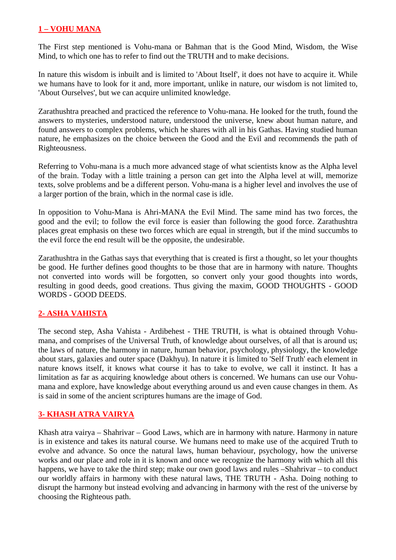# **1 – VOHU MANA**

The First step mentioned is Vohu-mana or Bahman that is the Good Mind, Wisdom, the Wise Mind, to which one has to refer to find out the TRUTH and to make decisions.

In nature this wisdom is inbuilt and is limited to 'About Itself', it does not have to acquire it. While we humans have to look for it and, more important, unlike in nature, our wisdom is not limited to, 'About Ourselves', but we can acquire unlimited knowledge.

Zarathushtra preached and practiced the reference to Vohu-mana. He looked for the truth, found the answers to mysteries, understood nature, understood the universe, knew about human nature, and found answers to complex problems, which he shares with all in his Gathas. Having studied human nature, he emphasizes on the choice between the Good and the Evil and recommends the path of Righteousness.

Referring to Vohu-mana is a much more advanced stage of what scientists know as the Alpha level of the brain. Today with a little training a person can get into the Alpha level at will, memorize texts, solve problems and be a different person. Vohu-mana is a higher level and involves the use of a larger portion of the brain, which in the normal case is idle.

In opposition to Vohu-Mana is Ahri-MANA the Evil Mind. The same mind has two forces, the good and the evil; to follow the evil force is easier than following the good force. Zarathushtra places great emphasis on these two forces which are equal in strength, but if the mind succumbs to the evil force the end result will be the opposite, the undesirable.

Zarathushtra in the Gathas says that everything that is created is first a thought, so let your thoughts be good. He further defines good thoughts to be those that are in harmony with nature. Thoughts not converted into words will be forgotten, so convert only your good thoughts into words, resulting in good deeds, good creations. Thus giving the maxim, GOOD THOUGHTS - GOOD WORDS - GOOD DEEDS.

# **2- ASHA VAHISTA**

The second step, Asha Vahista - Ardibehest - THE TRUTH, is what is obtained through Vohumana, and comprises of the Universal Truth, of knowledge about ourselves, of all that is around us; the laws of nature, the harmony in nature, human behavior, psychology, physiology, the knowledge about stars, galaxies and outer space (Dakhyu). In nature it is limited to 'Self Truth' each element in nature knows itself, it knows what course it has to take to evolve, we call it instinct. It has a limitation as far as acquiring knowledge about others is concerned. We humans can use our Vohumana and explore, have knowledge about everything around us and even cause changes in them. As is said in some of the ancient scriptures humans are the image of God.

# **3- KHASH ATRA VAIRYA**

Khash atra vairya – Shahrivar – Good Laws, which are in harmony with nature. Harmony in nature is in existence and takes its natural course. We humans need to make use of the acquired Truth to evolve and advance. So once the natural laws, human behaviour, psychology, how the universe works and our place and role in it is known and once we recognize the harmony with which all this happens, we have to take the third step; make our own good laws and rules –Shahrivar – to conduct our worldly affairs in harmony with these natural laws, THE TRUTH - Asha. Doing nothing to disrupt the harmony but instead evolving and advancing in harmony with the rest of the universe by choosing the Righteous path.